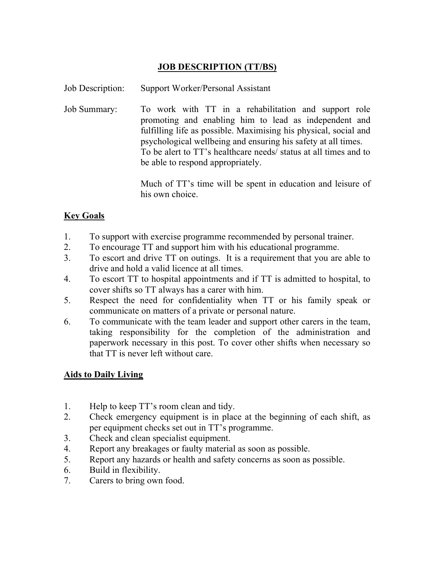## JOB DESCRIPTION (TT/BS)

Job Description: Support Worker/Personal Assistant

Job Summary: To work with TT in a rehabilitation and support role promoting and enabling him to lead as independent and fulfilling life as possible. Maximising his physical, social and psychological wellbeing and ensuring his safety at all times. To be alert to TT's healthcare needs/ status at all times and to be able to respond appropriately.

> Much of TT's time will be spent in education and leisure of his own choice.

## **Key Goals**

- 1. To support with exercise programme recommended by personal trainer.
- 2. To encourage TT and support him with his educational programme.
- 3. To escort and drive TT on outings. It is a requirement that you are able to drive and hold a valid licence at all times.
- 4. To escort TT to hospital appointments and if TT is admitted to hospital, to cover shifts so TT always has a carer with him.
- 5. Respect the need for confidentiality when TT or his family speak or communicate on matters of a private or personal nature.
- 6. To communicate with the team leader and support other carers in the team, taking responsibility for the completion of the administration and paperwork necessary in this post. To cover other shifts when necessary so that TT is never left without care.

## Aids to Daily Living

- 1. Help to keep TT's room clean and tidy.
- 2. Check emergency equipment is in place at the beginning of each shift, as per equipment checks set out in TT's programme.
- 3. Check and clean specialist equipment.
- 4. Report any breakages or faulty material as soon as possible.
- 5. Report any hazards or health and safety concerns as soon as possible.
- 6. Build in flexibility.
- 7. Carers to bring own food.